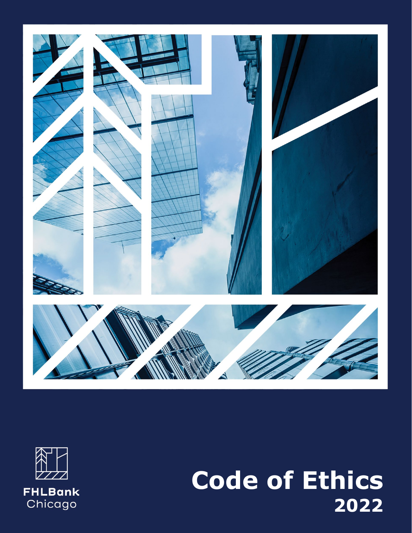



# 1 **202 2Code of Ethics**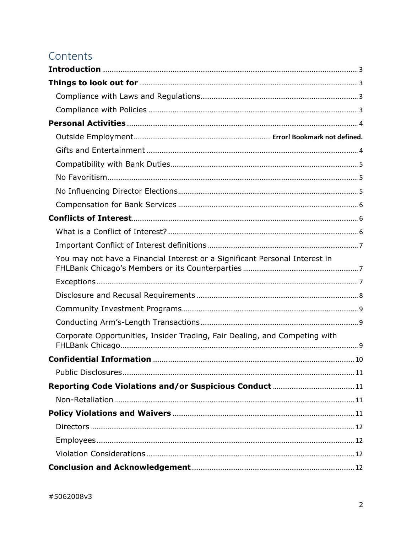# Contents

| You may not have a Financial Interest or a Significant Personal Interest in |  |
|-----------------------------------------------------------------------------|--|
|                                                                             |  |
|                                                                             |  |
|                                                                             |  |
|                                                                             |  |
| Corporate Opportunities, Insider Trading, Fair Dealing, and Competing with  |  |
|                                                                             |  |
|                                                                             |  |
|                                                                             |  |
|                                                                             |  |
|                                                                             |  |
|                                                                             |  |
|                                                                             |  |
|                                                                             |  |
|                                                                             |  |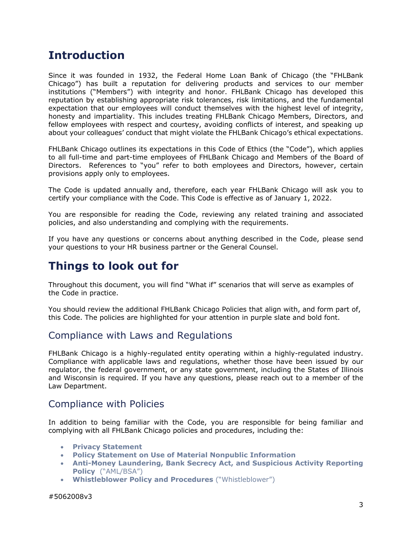# <span id="page-2-0"></span>**Introduction**

Since it was founded in 1932, the Federal Home Loan Bank of Chicago (the "FHLBank Chicago") has built a reputation for delivering products and services to our member institutions ("Members") with integrity and honor. FHLBank Chicago has developed this reputation by establishing appropriate risk tolerances, risk limitations, and the fundamental expectation that our employees will conduct themselves with the highest level of integrity, honesty and impartiality. This includes treating FHLBank Chicago Members, Directors, and fellow employees with respect and courtesy, avoiding conflicts of interest, and speaking up about your colleagues' conduct that might violate the FHLBank Chicago's ethical expectations.

FHLBank Chicago outlines its expectations in this Code of Ethics (the "Code"), which applies to all full-time and part-time employees of FHLBank Chicago and Members of the Board of Directors. References to "you" refer to both employees and Directors, however, certain provisions apply only to employees.

The Code is updated annually and, therefore, each year FHLBank Chicago will ask you to certify your compliance with the Code. This Code is effective as of January 1, 2022.

You are responsible for reading the Code, reviewing any related training and associated policies, and also understanding and complying with the requirements.

If you have any questions or concerns about anything described in the Code, please send your questions to your HR business partner or the General Counsel.

# <span id="page-2-1"></span>**Things to look out for**

Throughout this document, you will find "What if" scenarios that will serve as examples of the Code in practice.

You should review the additional FHLBank Chicago Policies that align with, and form part of, this Code. The policies are highlighted for your attention in purple slate and bold font.

#### <span id="page-2-2"></span>Compliance with Laws and Regulations

FHLBank Chicago is a highly-regulated entity operating within a highly-regulated industry. Compliance with applicable laws and regulations, whether those have been issued by our regulator, the federal government, or any state government, including the States of Illinois and Wisconsin is required. If you have any questions, please reach out to a member of the Law Department.

#### <span id="page-2-3"></span>Compliance with Policies

In addition to being familiar with the Code, you are responsible for being familiar and complying with all FHLBank Chicago policies and procedures, including the:

- **Privacy Statement**
- **Policy Statement on Use of Material Nonpublic Information**
- **Anti-Money Laundering, Bank Secrecy Act, and Suspicious Activity Reporting Policy** ("AML/BSA")
- **Whistleblower Policy and Procedures** ("Whistleblower")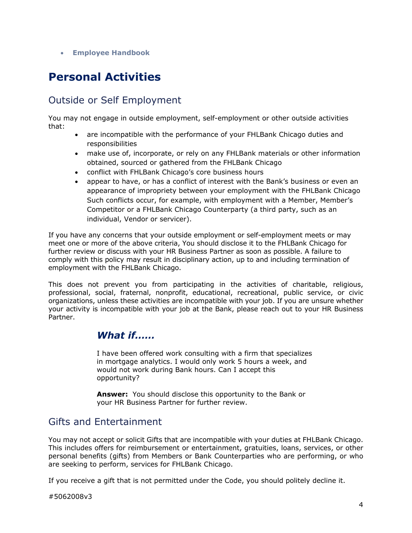• **Employee Handbook**

# <span id="page-3-0"></span>**Personal Activities**

## Outside or Self Employment

You may not engage in outside employment, self-employment or other outside activities that:

- are incompatible with the performance of your FHLBank Chicago duties and responsibilities
- make use of, incorporate, or rely on any FHLBank materials or other information obtained, sourced or gathered from the FHLBank Chicago
- conflict with FHLBank Chicago's core business hours
- appear to have, or has a conflict of interest with the Bank's business or even an appearance of impropriety between your employment with the FHLBank Chicago Such conflicts occur, for example, with employment with a Member, Member's Competitor or a FHLBank Chicago Counterparty (a third party, such as an individual, Vendor or servicer).

If you have any concerns that your outside employment or self-employment meets or may meet one or more of the above criteria, You should disclose it to the FHLBank Chicago for further review or discuss with your HR Business Partner as soon as possible. A failure to comply with this policy may result in disciplinary action, up to and including termination of employment with the FHLBank Chicago.

This does not prevent you from participating in the activities of charitable, religious, professional, social, fraternal, nonprofit, educational, recreational, public service, or civic organizations, unless these activities are incompatible with your job. If you are unsure whether your activity is incompatible with your job at the Bank, please reach out to your HR Business Partner.

#### *What if……*

I have been offered work consulting with a firm that specializes in mortgage analytics. I would only work 5 hours a week, and would not work during Bank hours. Can I accept this opportunity?

**Answer:** You should disclose this opportunity to the Bank or your HR Business Partner for further review.

#### <span id="page-3-1"></span>Gifts and Entertainment

You may not accept or solicit Gifts that are incompatible with your duties at FHLBank Chicago. This includes offers for reimbursement or entertainment, gratuities, loans, services, or other personal benefits (gifts) from Members or Bank Counterparties who are performing, or who are seeking to perform, services for FHLBank Chicago.

If you receive a gift that is not permitted under the Code, you should politely decline it.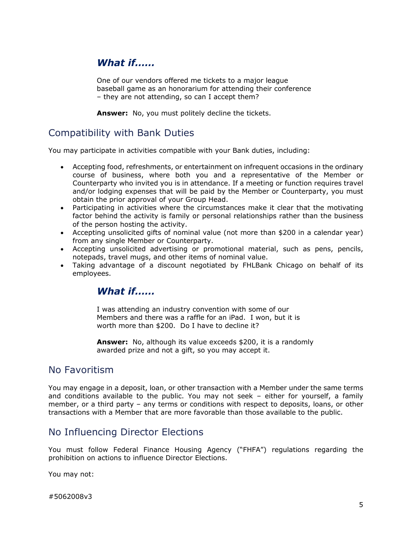## *What if……*

One of our vendors offered me tickets to a major league baseball game as an honorarium for attending their conference – they are not attending, so can I accept them?

**Answer:** No, you must politely decline the tickets.

#### <span id="page-4-0"></span>Compatibility with Bank Duties

You may participate in activities compatible with your Bank duties, including:

- Accepting food, refreshments, or entertainment on infrequent occasions in the ordinary course of business, where both you and a representative of the Member or Counterparty who invited you is in attendance. If a meeting or function requires travel and/or lodging expenses that will be paid by the Member or Counterparty, you must obtain the prior approval of your Group Head.
- Participating in activities where the circumstances make it clear that the motivating factor behind the activity is family or personal relationships rather than the business of the person hosting the activity.
- Accepting unsolicited gifts of nominal value (not more than \$200 in a calendar year) from any single Member or Counterparty.
- Accepting unsolicited advertising or promotional material, such as pens, pencils, notepads, travel mugs, and other items of nominal value.
- Taking advantage of a discount negotiated by FHLBank Chicago on behalf of its employees.

#### *What if……*

I was attending an industry convention with some of our Members and there was a raffle for an iPad. I won, but it is worth more than \$200. Do I have to decline it?

**Answer:** No, although its value exceeds \$200, it is a randomly awarded prize and not a gift, so you may accept it.

#### <span id="page-4-1"></span>No Favoritism

You may engage in a deposit, loan, or other transaction with a Member under the same terms and conditions available to the public. You may not seek – either for yourself, a family member, or a third party – any terms or conditions with respect to deposits, loans, or other transactions with a Member that are more favorable than those available to the public.

#### <span id="page-4-2"></span>No Influencing Director Elections

You must follow Federal Finance Housing Agency ("FHFA") regulations regarding the prohibition on actions to influence Director Elections.

You may not:

#5062008v3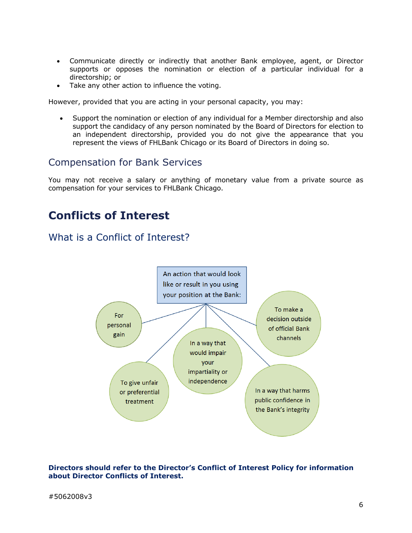- Communicate directly or indirectly that another Bank employee, agent, or Director supports or opposes the nomination or election of a particular individual for a directorship; or
- Take any other action to influence the voting.

However, provided that you are acting in your personal capacity, you may:

• Support the nomination or election of any individual for a Member directorship and also support the candidacy of any person nominated by the Board of Directors for election to an independent directorship, provided you do not give the appearance that you represent the views of FHLBank Chicago or its Board of Directors in doing so.

#### <span id="page-5-0"></span>Compensation for Bank Services

You may not receive a salary or anything of monetary value from a private source as compensation for your services to FHLBank Chicago.

# **Conflicts of Interest**

#### <span id="page-5-2"></span>What is a Conflict of Interest?

<span id="page-5-1"></span>

#### **Directors should refer to the Director's Conflict of Interest Policy for information about Director Conflicts of Interest.**

#### #5062008v3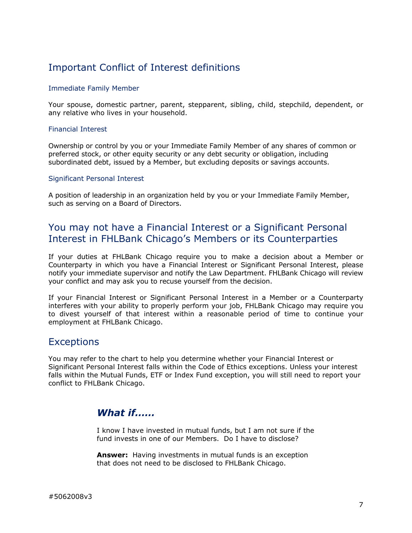# <span id="page-6-0"></span>Important Conflict of Interest definitions

#### Immediate Family Member

Your spouse, domestic partner, parent, stepparent, sibling, child, stepchild, dependent, or any relative who lives in your household.

#### Financial Interest

Ownership or control by you or your Immediate Family Member of any shares of common or preferred stock, or other equity security or any debt security or obligation, including subordinated debt, issued by a Member, but excluding deposits or savings accounts.

#### Significant Personal Interest

A position of leadership in an organization held by you or your Immediate Family Member, such as serving on a Board of Directors.

#### <span id="page-6-1"></span>You may not have a Financial Interest or a Significant Personal Interest in FHLBank Chicago's Members or its Counterparties

If your duties at FHLBank Chicago require you to make a decision about a Member or Counterparty in which you have a Financial Interest or Significant Personal Interest, please notify your immediate supervisor and notify the Law Department. FHLBank Chicago will review your conflict and may ask you to recuse yourself from the decision.

If your Financial Interest or Significant Personal Interest in a Member or a Counterparty interferes with your ability to properly perform your job, FHLBank Chicago may require you to divest yourself of that interest within a reasonable period of time to continue your employment at FHLBank Chicago.

#### <span id="page-6-2"></span>**Exceptions**

You may refer to the chart to help you determine whether your Financial Interest or Significant Personal Interest falls within the Code of Ethics exceptions. Unless your interest falls within the Mutual Funds, ETF or Index Fund exception, you will still need to report your conflict to FHLBank Chicago.

#### *What if……*

I know I have invested in mutual funds, but I am not sure if the fund invests in one of our Members. Do I have to disclose?

**Answer:** Having investments in mutual funds is an exception that does not need to be disclosed to FHLBank Chicago.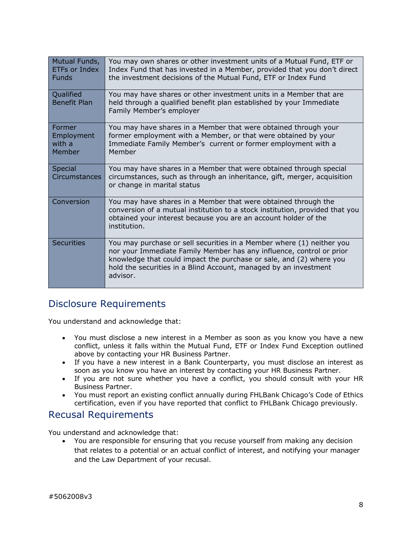| Mutual Funds,<br><b>ETFs or Index</b><br><b>Funds</b> | You may own shares or other investment units of a Mutual Fund, ETF or<br>Index Fund that has invested in a Member, provided that you don't direct<br>the investment decisions of the Mutual Fund, ETF or Index Fund                                                                                  |
|-------------------------------------------------------|------------------------------------------------------------------------------------------------------------------------------------------------------------------------------------------------------------------------------------------------------------------------------------------------------|
| Qualified<br><b>Benefit Plan</b>                      | You may have shares or other investment units in a Member that are<br>held through a qualified benefit plan established by your Immediate<br>Family Member's employer                                                                                                                                |
| Former<br>Employment<br>with a<br>Member              | You may have shares in a Member that were obtained through your<br>former employment with a Member, or that were obtained by your<br>Immediate Family Member's current or former employment with a<br>Member                                                                                         |
| Special<br><b>Circumstances</b>                       | You may have shares in a Member that were obtained through special<br>circumstances, such as through an inheritance, gift, merger, acquisition<br>or change in marital status                                                                                                                        |
| Conversion                                            | You may have shares in a Member that were obtained through the<br>conversion of a mutual institution to a stock institution, provided that you<br>obtained your interest because you are an account holder of the<br>institution.                                                                    |
| <b>Securities</b>                                     | You may purchase or sell securities in a Member where (1) neither you<br>nor your Immediate Family Member has any influence, control or prior<br>knowledge that could impact the purchase or sale, and (2) where you<br>hold the securities in a Blind Account, managed by an investment<br>advisor. |

## <span id="page-7-0"></span>Disclosure Requirements

You understand and acknowledge that:

- You must disclose a new interest in a Member as soon as you know you have a new conflict, unless it falls within the Mutual Fund, ETF or Index Fund Exception outlined above by contacting your HR Business Partner.
- If you have a new interest in a Bank Counterparty, you must disclose an interest as soon as you know you have an interest by contacting your HR Business Partner.
- If you are not sure whether you have a conflict, you should consult with your HR Business Partner.
- You must report an existing conflict annually during FHLBank Chicago's Code of Ethics certification, even if you have reported that conflict to FHLBank Chicago previously.

#### Recusal Requirements

You understand and acknowledge that:

• You are responsible for ensuring that you recuse yourself from making any decision that relates to a potential or an actual conflict of interest, and notifying your manager and the Law Department of your recusal.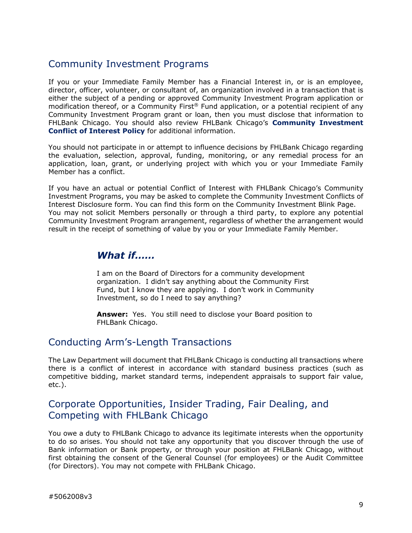## <span id="page-8-0"></span>Community Investment Programs

If you or your Immediate Family Member has a Financial Interest in, or is an employee, director, officer, volunteer, or consultant of, an organization involved in a transaction that is either the subject of a pending or approved Community Investment Program application or modification thereof, or a Community First® Fund application, or a potential recipient of any Community Investment Program grant or loan, then you must disclose that information to FHLBank Chicago. You should also review FHLBank Chicago's **Community Investment Conflict of Interest Policy** for additional information.

You should not participate in or attempt to influence decisions by FHLBank Chicago regarding the evaluation, selection, approval, funding, monitoring, or any remedial process for an application, loan, grant, or underlying project with which you or your Immediate Family Member has a conflict.

If you have an actual or potential Conflict of Interest with FHLBank Chicago's Community Investment Programs, you may be asked to complete the Community Investment Conflicts of Interest Disclosure form. You can find this form on the Community Investment Blink Page. You may not solicit Members personally or through a third party, to explore any potential Community Investment Program arrangement, regardless of whether the arrangement would result in the receipt of something of value by you or your Immediate Family Member.

#### *What if……*

I am on the Board of Directors for a community development organization. I didn't say anything about the Community First Fund, but I know they are applying. I don't work in Community Investment, so do I need to say anything?

**Answer:** Yes. You still need to disclose your Board position to FHLBank Chicago.

#### <span id="page-8-1"></span>Conducting Arm's-Length Transactions

The Law Department will document that FHLBank Chicago is conducting all transactions where there is a conflict of interest in accordance with standard business practices (such as competitive bidding, market standard terms, independent appraisals to support fair value, etc.).

## <span id="page-8-2"></span>Corporate Opportunities, Insider Trading, Fair Dealing, and Competing with FHLBank Chicago

You owe a duty to FHLBank Chicago to advance its legitimate interests when the opportunity to do so arises. You should not take any opportunity that you discover through the use of Bank information or Bank property, or through your position at FHLBank Chicago, without first obtaining the consent of the General Counsel (for employees) or the Audit Committee (for Directors). You may not compete with FHLBank Chicago.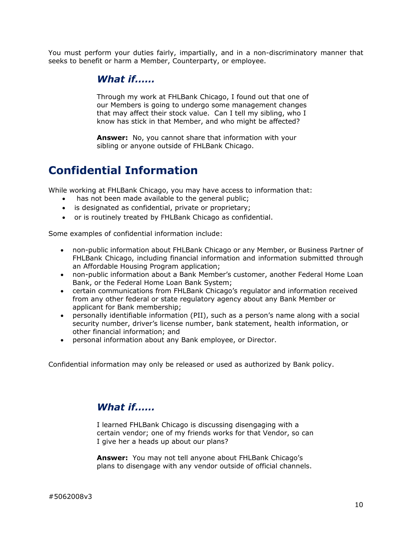You must perform your duties fairly, impartially, and in a non-discriminatory manner that seeks to benefit or harm a Member, Counterparty, or employee.

#### *What if……*

Through my work at FHLBank Chicago, I found out that one of our Members is going to undergo some management changes that may affect their stock value. Can I tell my sibling, who I know has stick in that Member, and who might be affected?

**Answer:** No, you cannot share that information with your sibling or anyone outside of FHLBank Chicago.

# <span id="page-9-0"></span>**Confidential Information**

While working at FHLBank Chicago, you may have access to information that:

- has not been made available to the general public;
- is designated as confidential, private or proprietary;
- or is routinely treated by FHLBank Chicago as confidential.

Some examples of confidential information include:

- non-public information about FHLBank Chicago or any Member, or Business Partner of FHLBank Chicago, including financial information and information submitted through an Affordable Housing Program application;
- non-public information about a Bank Member's customer, another Federal Home Loan Bank, or the Federal Home Loan Bank System;
- certain communications from FHLBank Chicago's regulator and information received from any other federal or state regulatory agency about any Bank Member or applicant for Bank membership;
- personally identifiable information (PII), such as a person's name along with a social security number, driver's license number, bank statement, health information, or other financial information; and
- personal information about any Bank employee, or Director.

Confidential information may only be released or used as authorized by Bank policy.

#### *What if……*

I learned FHLBank Chicago is discussing disengaging with a certain vendor; one of my friends works for that Vendor, so can I give her a heads up about our plans?

**Answer:** You may not tell anyone about FHLBank Chicago's plans to disengage with any vendor outside of official channels.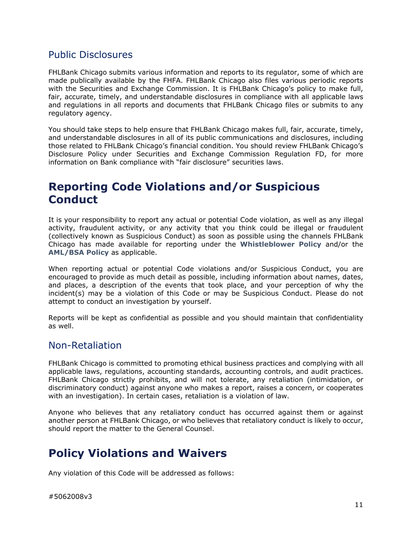## <span id="page-10-0"></span>Public Disclosures

FHLBank Chicago submits various information and reports to its regulator, some of which are made publically available by the FHFA. FHLBank Chicago also files various periodic reports with the Securities and Exchange Commission. It is FHLBank Chicago's policy to make full, fair, accurate, timely, and understandable disclosures in compliance with all applicable laws and regulations in all reports and documents that FHLBank Chicago files or submits to any regulatory agency.

You should take steps to help ensure that FHLBank Chicago makes full, fair, accurate, timely, and understandable disclosures in all of its public communications and disclosures, including those related to FHLBank Chicago's financial condition. You should review FHLBank Chicago's Disclosure Policy under Securities and Exchange Commission Regulation FD, for more information on Bank compliance with "fair disclosure" securities laws.

# <span id="page-10-1"></span>**Reporting Code Violations and/or Suspicious Conduct**

It is your responsibility to report any actual or potential Code violation, as well as any illegal activity, fraudulent activity, or any activity that you think could be illegal or fraudulent (collectively known as Suspicious Conduct) as soon as possible using the channels FHLBank Chicago has made available for reporting under the **Whistleblower Policy** and/or the **AML/BSA Policy** as applicable.

When reporting actual or potential Code violations and/or Suspicious Conduct, you are encouraged to provide as much detail as possible, including information about names, dates, and places, a description of the events that took place, and your perception of why the incident(s) may be a violation of this Code or may be Suspicious Conduct. Please do not attempt to conduct an investigation by yourself.

Reports will be kept as confidential as possible and you should maintain that confidentiality as well.

#### <span id="page-10-2"></span>Non-Retaliation

FHLBank Chicago is committed to promoting ethical business practices and complying with all applicable laws, regulations, accounting standards, accounting controls, and audit practices. FHLBank Chicago strictly prohibits, and will not tolerate, any retaliation (intimidation, or discriminatory conduct) against anyone who makes a report, raises a concern, or cooperates with an investigation). In certain cases, retaliation is a violation of law.

Anyone who believes that any retaliatory conduct has occurred against them or against another person at FHLBank Chicago, or who believes that retaliatory conduct is likely to occur, should report the matter to the General Counsel.

# <span id="page-10-3"></span>**Policy Violations and Waivers**

Any violation of this Code will be addressed as follows: